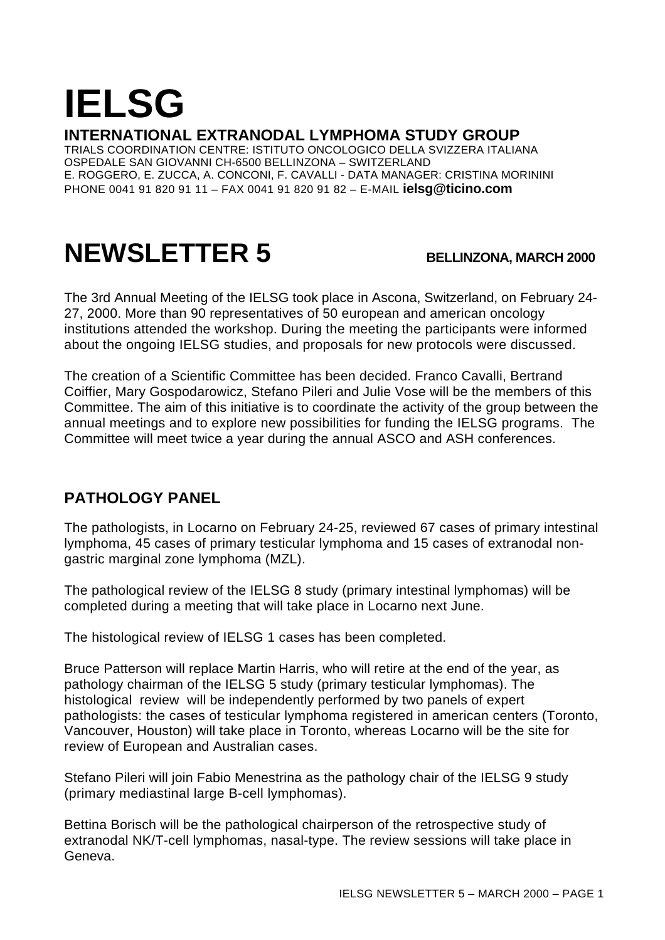# **IELSG**

**INTERNATIONAL EXTRANODAL LYMPHOMA STUDY GROUP**

TRIALS COORDINATION CENTRE: ISTITUTO ONCOLOGICO DELLA SVIZZERA ITALIANA OSPEDALE SAN GIOVANNI CH-6500 BELLINZONA – SWITZERLAND E. ROGGERO, E. ZUCCA, A. CONCONI, F. CAVALLI - DATA MANAGER: CRISTINA MORININI PHONE 0041 91 820 91 11 – FAX 0041 91 820 91 82 – E-MAIL **ielsg@ticino.com**

## **NEWSLETTER 5 BELLINZONA, MARCH 2000**

The 3rd Annual Meeting of the IELSG took place in Ascona, Switzerland, on February 24- 27, 2000. More than 90 representatives of 50 european and american oncology institutions attended the workshop. During the meeting the participants were informed about the ongoing IELSG studies, and proposals for new protocols were discussed.

The creation of a Scientific Committee has been decided. Franco Cavalli, Bertrand Coiffier, Mary Gospodarowicz, Stefano Pileri and Julie Vose will be the members of this Committee. The aim of this initiative is to coordinate the activity of the group between the annual meetings and to explore new possibilities for funding the IELSG programs. The Committee will meet twice a year during the annual ASCO and ASH conferences.

#### **PATHOLOGY PANEL**

The pathologists, in Locarno on February 24-25, reviewed 67 cases of primary intestinal lymphoma, 45 cases of primary testicular lymphoma and 15 cases of extranodal nongastric marginal zone lymphoma (MZL).

The pathological review of the IELSG 8 study (primary intestinal lymphomas) will be completed during a meeting that will take place in Locarno next June.

The histological review of IELSG 1 cases has been completed.

Bruce Patterson will replace Martin Harris, who will retire at the end of the year, as pathology chairman of the IELSG 5 study (primary testicular lymphomas). The histological review will be independently performed by two panels of expert pathologists: the cases of testicular lymphoma registered in american centers (Toronto, Vancouver, Houston) will take place in Toronto, whereas Locarno will be the site for review of European and Australian cases.

Stefano Pileri will join Fabio Menestrina as the pathology chair of the IELSG 9 study (primary mediastinal large B-cell lymphomas).

Bettina Borisch will be the pathological chairperson of the retrospective study of extranodal NK/T-cell lymphomas, nasal-type. The review sessions will take place in Geneva.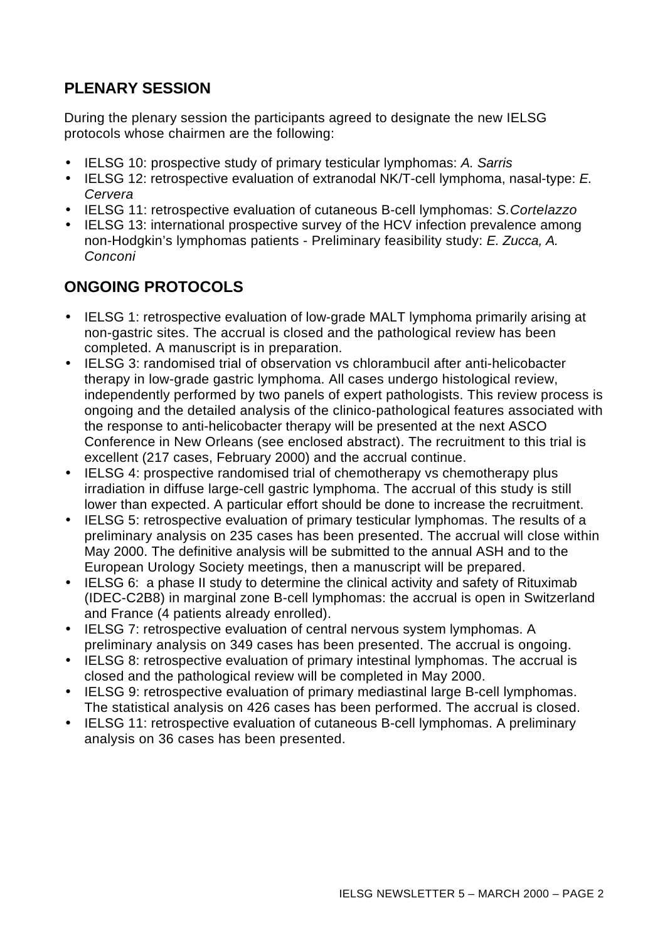#### **PLENARY SESSION**

During the plenary session the participants agreed to designate the new IELSG protocols whose chairmen are the following:

- IELSG 10: prospective study of primary testicular lymphomas: *A. Sarris*
- IELSG 12: retrospective evaluation of extranodal NK/T-cell lymphoma, nasal-type: *E. Cervera*
- IELSG 11: retrospective evaluation of cutaneous B-cell lymphomas: *S.Cortelazzo*
- IELSG 13: international prospective survey of the HCV infection prevalence among non-Hodgkin's lymphomas patients - Preliminary feasibility study: *E. Zucca, A. Conconi*

### **ONGOING PROTOCOLS**

- IELSG 1: retrospective evaluation of low-grade MALT lymphoma primarily arising at non-gastric sites. The accrual is closed and the pathological review has been completed. A manuscript is in preparation.
- IELSG 3: randomised trial of observation vs chlorambucil after anti-helicobacter therapy in low-grade gastric lymphoma. All cases undergo histological review, independently performed by two panels of expert pathologists. This review process is ongoing and the detailed analysis of the clinico-pathological features associated with the response to anti-helicobacter therapy will be presented at the next ASCO Conference in New Orleans (see enclosed abstract). The recruitment to this trial is excellent (217 cases, February 2000) and the accrual continue.
- IELSG 4: prospective randomised trial of chemotherapy vs chemotherapy plus irradiation in diffuse large-cell gastric lymphoma. The accrual of this study is still lower than expected. A particular effort should be done to increase the recruitment.
- IELSG 5: retrospective evaluation of primary testicular lymphomas. The results of a preliminary analysis on 235 cases has been presented. The accrual will close within May 2000. The definitive analysis will be submitted to the annual ASH and to the European Urology Society meetings, then a manuscript will be prepared.
- IELSG 6: a phase II study to determine the clinical activity and safety of Rituximab (IDEC-C2B8) in marginal zone B-cell lymphomas: the accrual is open in Switzerland and France (4 patients already enrolled).
- IELSG 7: retrospective evaluation of central nervous system lymphomas. A preliminary analysis on 349 cases has been presented. The accrual is ongoing.
- IELSG 8: retrospective evaluation of primary intestinal lymphomas. The accrual is closed and the pathological review will be completed in May 2000.
- IELSG 9: retrospective evaluation of primary mediastinal large B-cell lymphomas. The statistical analysis on 426 cases has been performed. The accrual is closed.
- IELSG 11: retrospective evaluation of cutaneous B-cell lymphomas. A preliminary analysis on 36 cases has been presented.